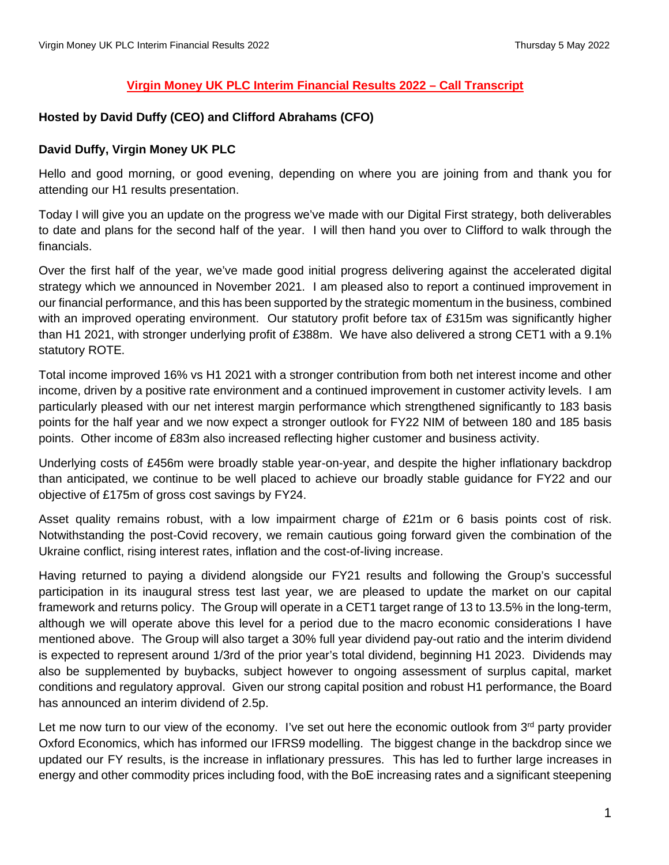### **Virgin Money UK PLC Interim Financial Results 2022 – Call Transcript**

### **Hosted by David Duffy (CEO) and Clifford Abrahams (CFO)**

### **David Duffy, Virgin Money UK PLC**

Hello and good morning, or good evening, depending on where you are joining from and thank you for attending our H1 results presentation.

Today I will give you an update on the progress we've made with our Digital First strategy, both deliverables to date and plans for the second half of the year. I will then hand you over to Clifford to walk through the financials.

Over the first half of the year, we've made good initial progress delivering against the accelerated digital strategy which we announced in November 2021. I am pleased also to report a continued improvement in our financial performance, and this has been supported by the strategic momentum in the business, combined with an improved operating environment. Our statutory profit before tax of £315m was significantly higher than H1 2021, with stronger underlying profit of £388m. We have also delivered a strong CET1 with a 9.1% statutory ROTE.

Total income improved 16% vs H1 2021 with a stronger contribution from both net interest income and other income, driven by a positive rate environment and a continued improvement in customer activity levels. I am particularly pleased with our net interest margin performance which strengthened significantly to 183 basis points for the half year and we now expect a stronger outlook for FY22 NIM of between 180 and 185 basis points. Other income of £83m also increased reflecting higher customer and business activity.

Underlying costs of £456m were broadly stable year-on-year, and despite the higher inflationary backdrop than anticipated, we continue to be well placed to achieve our broadly stable guidance for FY22 and our objective of £175m of gross cost savings by FY24.

Asset quality remains robust, with a low impairment charge of £21m or 6 basis points cost of risk. Notwithstanding the post-Covid recovery, we remain cautious going forward given the combination of the Ukraine conflict, rising interest rates, inflation and the cost-of-living increase.

Having returned to paying a dividend alongside our FY21 results and following the Group's successful participation in its inaugural stress test last year, we are pleased to update the market on our capital framework and returns policy. The Group will operate in a CET1 target range of 13 to 13.5% in the long-term, although we will operate above this level for a period due to the macro economic considerations I have mentioned above. The Group will also target a 30% full year dividend pay-out ratio and the interim dividend is expected to represent around 1/3rd of the prior year's total dividend, beginning H1 2023. Dividends may also be supplemented by buybacks, subject however to ongoing assessment of surplus capital, market conditions and regulatory approval. Given our strong capital position and robust H1 performance, the Board has announced an interim dividend of 2.5p.

Let me now turn to our view of the economy. I've set out here the economic outlook from  $3<sup>rd</sup>$  party provider Oxford Economics, which has informed our IFRS9 modelling. The biggest change in the backdrop since we updated our FY results, is the increase in inflationary pressures. This has led to further large increases in energy and other commodity prices including food, with the BoE increasing rates and a significant steepening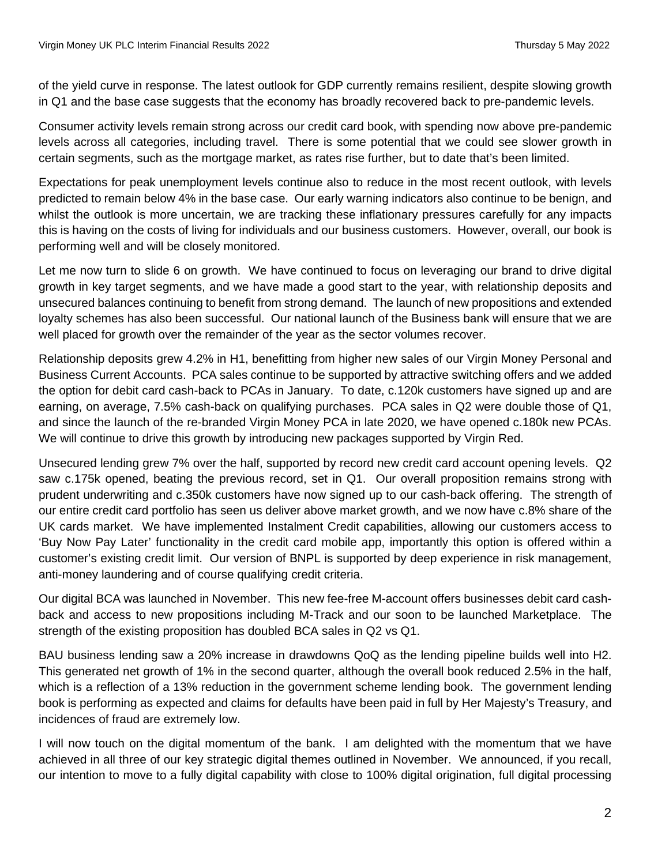of the yield curve in response. The latest outlook for GDP currently remains resilient, despite slowing growth in Q1 and the base case suggests that the economy has broadly recovered back to pre-pandemic levels.

Consumer activity levels remain strong across our credit card book, with spending now above pre-pandemic levels across all categories, including travel. There is some potential that we could see slower growth in certain segments, such as the mortgage market, as rates rise further, but to date that's been limited.

Expectations for peak unemployment levels continue also to reduce in the most recent outlook, with levels predicted to remain below 4% in the base case. Our early warning indicators also continue to be benign, and whilst the outlook is more uncertain, we are tracking these inflationary pressures carefully for any impacts this is having on the costs of living for individuals and our business customers. However, overall, our book is performing well and will be closely monitored.

Let me now turn to slide 6 on growth. We have continued to focus on leveraging our brand to drive digital growth in key target segments, and we have made a good start to the year, with relationship deposits and unsecured balances continuing to benefit from strong demand. The launch of new propositions and extended loyalty schemes has also been successful. Our national launch of the Business bank will ensure that we are well placed for growth over the remainder of the year as the sector volumes recover.

Relationship deposits grew 4.2% in H1, benefitting from higher new sales of our Virgin Money Personal and Business Current Accounts. PCA sales continue to be supported by attractive switching offers and we added the option for debit card cash-back to PCAs in January. To date, c.120k customers have signed up and are earning, on average, 7.5% cash-back on qualifying purchases. PCA sales in Q2 were double those of Q1, and since the launch of the re-branded Virgin Money PCA in late 2020, we have opened c.180k new PCAs. We will continue to drive this growth by introducing new packages supported by Virgin Red.

Unsecured lending grew 7% over the half, supported by record new credit card account opening levels. Q2 saw c.175k opened, beating the previous record, set in Q1. Our overall proposition remains strong with prudent underwriting and c.350k customers have now signed up to our cash-back offering. The strength of our entire credit card portfolio has seen us deliver above market growth, and we now have c.8% share of the UK cards market. We have implemented Instalment Credit capabilities, allowing our customers access to 'Buy Now Pay Later' functionality in the credit card mobile app, importantly this option is offered within a customer's existing credit limit. Our version of BNPL is supported by deep experience in risk management, anti-money laundering and of course qualifying credit criteria.

Our digital BCA was launched in November. This new fee-free M-account offers businesses debit card cashback and access to new propositions including M-Track and our soon to be launched Marketplace. The strength of the existing proposition has doubled BCA sales in Q2 vs Q1.

BAU business lending saw a 20% increase in drawdowns QoQ as the lending pipeline builds well into H2. This generated net growth of 1% in the second quarter, although the overall book reduced 2.5% in the half, which is a reflection of a 13% reduction in the government scheme lending book. The government lending book is performing as expected and claims for defaults have been paid in full by Her Majesty's Treasury, and incidences of fraud are extremely low.

I will now touch on the digital momentum of the bank. I am delighted with the momentum that we have achieved in all three of our key strategic digital themes outlined in November. We announced, if you recall, our intention to move to a fully digital capability with close to 100% digital origination, full digital processing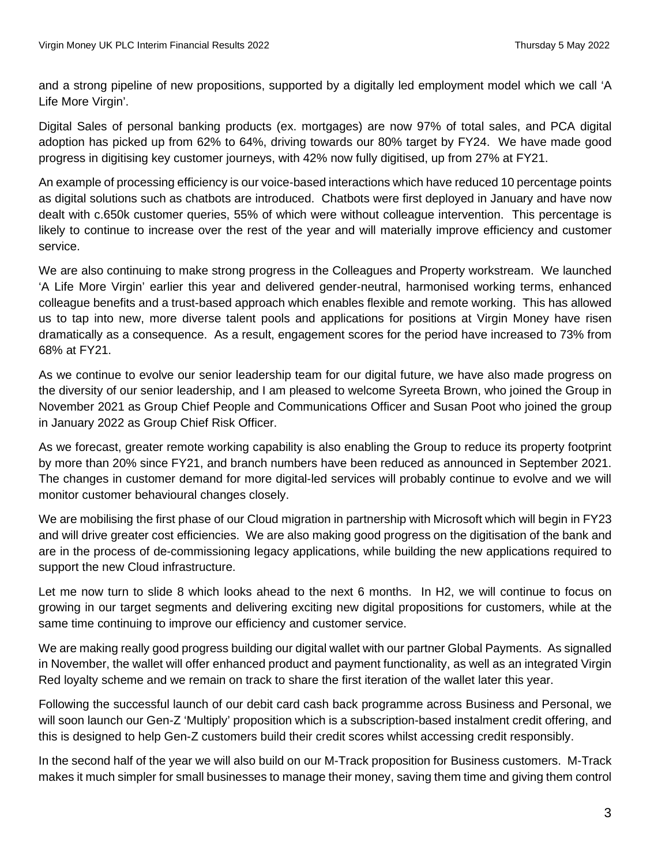and a strong pipeline of new propositions, supported by a digitally led employment model which we call 'A Life More Virgin'.

Digital Sales of personal banking products (ex. mortgages) are now 97% of total sales, and PCA digital adoption has picked up from 62% to 64%, driving towards our 80% target by FY24. We have made good progress in digitising key customer journeys, with 42% now fully digitised, up from 27% at FY21.

An example of processing efficiency is our voice-based interactions which have reduced 10 percentage points as digital solutions such as chatbots are introduced. Chatbots were first deployed in January and have now dealt with c.650k customer queries, 55% of which were without colleague intervention. This percentage is likely to continue to increase over the rest of the year and will materially improve efficiency and customer service.

We are also continuing to make strong progress in the Colleagues and Property workstream. We launched 'A Life More Virgin' earlier this year and delivered gender-neutral, harmonised working terms, enhanced colleague benefits and a trust-based approach which enables flexible and remote working. This has allowed us to tap into new, more diverse talent pools and applications for positions at Virgin Money have risen dramatically as a consequence. As a result, engagement scores for the period have increased to 73% from 68% at FY21.

As we continue to evolve our senior leadership team for our digital future, we have also made progress on the diversity of our senior leadership, and I am pleased to welcome Syreeta Brown, who joined the Group in November 2021 as Group Chief People and Communications Officer and Susan Poot who joined the group in January 2022 as Group Chief Risk Officer.

As we forecast, greater remote working capability is also enabling the Group to reduce its property footprint by more than 20% since FY21, and branch numbers have been reduced as announced in September 2021. The changes in customer demand for more digital-led services will probably continue to evolve and we will monitor customer behavioural changes closely.

We are mobilising the first phase of our Cloud migration in partnership with Microsoft which will begin in FY23 and will drive greater cost efficiencies. We are also making good progress on the digitisation of the bank and are in the process of de-commissioning legacy applications, while building the new applications required to support the new Cloud infrastructure.

Let me now turn to slide 8 which looks ahead to the next 6 months. In H2, we will continue to focus on growing in our target segments and delivering exciting new digital propositions for customers, while at the same time continuing to improve our efficiency and customer service.

We are making really good progress building our digital wallet with our partner Global Payments. As signalled in November, the wallet will offer enhanced product and payment functionality, as well as an integrated Virgin Red loyalty scheme and we remain on track to share the first iteration of the wallet later this year.

Following the successful launch of our debit card cash back programme across Business and Personal, we will soon launch our Gen-Z 'Multiply' proposition which is a subscription-based instalment credit offering, and this is designed to help Gen-Z customers build their credit scores whilst accessing credit responsibly.

In the second half of the year we will also build on our M-Track proposition for Business customers. M-Track makes it much simpler for small businesses to manage their money, saving them time and giving them control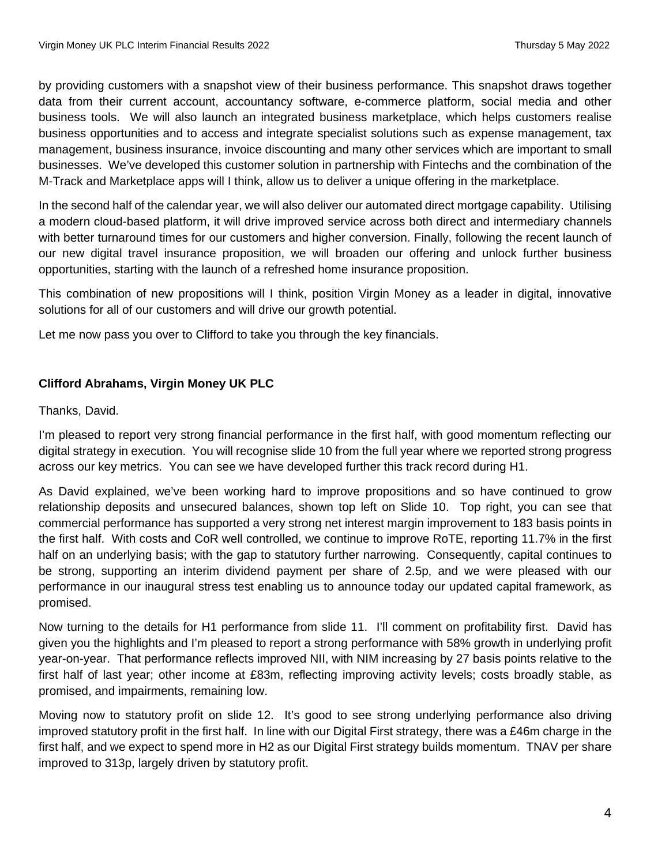by providing customers with a snapshot view of their business performance. This snapshot draws together data from their current account, accountancy software, e-commerce platform, social media and other business tools. We will also launch an integrated business marketplace, which helps customers realise business opportunities and to access and integrate specialist solutions such as expense management, tax management, business insurance, invoice discounting and many other services which are important to small businesses. We've developed this customer solution in partnership with Fintechs and the combination of the M-Track and Marketplace apps will I think, allow us to deliver a unique offering in the marketplace.

In the second half of the calendar year, we will also deliver our automated direct mortgage capability. Utilising a modern cloud-based platform, it will drive improved service across both direct and intermediary channels with better turnaround times for our customers and higher conversion. Finally, following the recent launch of our new digital travel insurance proposition, we will broaden our offering and unlock further business opportunities, starting with the launch of a refreshed home insurance proposition.

This combination of new propositions will I think, position Virgin Money as a leader in digital, innovative solutions for all of our customers and will drive our growth potential.

Let me now pass you over to Clifford to take you through the key financials.

# **Clifford Abrahams, Virgin Money UK PLC**

## Thanks, David.

I'm pleased to report very strong financial performance in the first half, with good momentum reflecting our digital strategy in execution. You will recognise slide 10 from the full year where we reported strong progress across our key metrics. You can see we have developed further this track record during H1.

As David explained, we've been working hard to improve propositions and so have continued to grow relationship deposits and unsecured balances, shown top left on Slide 10. Top right, you can see that commercial performance has supported a very strong net interest margin improvement to 183 basis points in the first half. With costs and CoR well controlled, we continue to improve RoTE, reporting 11.7% in the first half on an underlying basis; with the gap to statutory further narrowing. Consequently, capital continues to be strong, supporting an interim dividend payment per share of 2.5p, and we were pleased with our performance in our inaugural stress test enabling us to announce today our updated capital framework, as promised.

Now turning to the details for H1 performance from slide 11. I'll comment on profitability first. David has given you the highlights and I'm pleased to report a strong performance with 58% growth in underlying profit year-on-year. That performance reflects improved NII, with NIM increasing by 27 basis points relative to the first half of last year; other income at £83m, reflecting improving activity levels; costs broadly stable, as promised, and impairments, remaining low.

Moving now to statutory profit on slide 12. It's good to see strong underlying performance also driving improved statutory profit in the first half. In line with our Digital First strategy, there was a £46m charge in the first half, and we expect to spend more in H2 as our Digital First strategy builds momentum. TNAV per share improved to 313p, largely driven by statutory profit.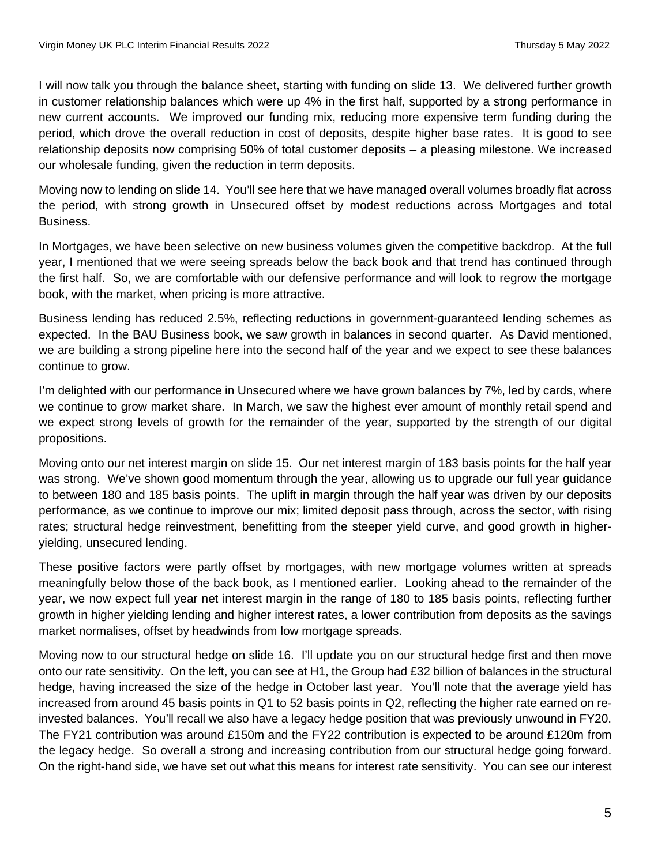I will now talk you through the balance sheet, starting with funding on slide 13. We delivered further growth in customer relationship balances which were up 4% in the first half, supported by a strong performance in new current accounts. We improved our funding mix, reducing more expensive term funding during the period, which drove the overall reduction in cost of deposits, despite higher base rates. It is good to see relationship deposits now comprising 50% of total customer deposits – a pleasing milestone. We increased our wholesale funding, given the reduction in term deposits.

Moving now to lending on slide 14. You'll see here that we have managed overall volumes broadly flat across the period, with strong growth in Unsecured offset by modest reductions across Mortgages and total Business.

In Mortgages, we have been selective on new business volumes given the competitive backdrop. At the full year, I mentioned that we were seeing spreads below the back book and that trend has continued through the first half. So, we are comfortable with our defensive performance and will look to regrow the mortgage book, with the market, when pricing is more attractive.

Business lending has reduced 2.5%, reflecting reductions in government-guaranteed lending schemes as expected. In the BAU Business book, we saw growth in balances in second quarter. As David mentioned, we are building a strong pipeline here into the second half of the year and we expect to see these balances continue to grow.

I'm delighted with our performance in Unsecured where we have grown balances by 7%, led by cards, where we continue to grow market share. In March, we saw the highest ever amount of monthly retail spend and we expect strong levels of growth for the remainder of the year, supported by the strength of our digital propositions.

Moving onto our net interest margin on slide 15. Our net interest margin of 183 basis points for the half year was strong. We've shown good momentum through the year, allowing us to upgrade our full year guidance to between 180 and 185 basis points. The uplift in margin through the half year was driven by our deposits performance, as we continue to improve our mix; limited deposit pass through, across the sector, with rising rates; structural hedge reinvestment, benefitting from the steeper yield curve, and good growth in higheryielding, unsecured lending.

These positive factors were partly offset by mortgages, with new mortgage volumes written at spreads meaningfully below those of the back book, as I mentioned earlier. Looking ahead to the remainder of the year, we now expect full year net interest margin in the range of 180 to 185 basis points, reflecting further growth in higher yielding lending and higher interest rates, a lower contribution from deposits as the savings market normalises, offset by headwinds from low mortgage spreads.

Moving now to our structural hedge on slide 16. I'll update you on our structural hedge first and then move onto our rate sensitivity. On the left, you can see at H1, the Group had £32 billion of balances in the structural hedge, having increased the size of the hedge in October last year. You'll note that the average yield has increased from around 45 basis points in Q1 to 52 basis points in Q2, reflecting the higher rate earned on reinvested balances. You'll recall we also have a legacy hedge position that was previously unwound in FY20. The FY21 contribution was around £150m and the FY22 contribution is expected to be around £120m from the legacy hedge. So overall a strong and increasing contribution from our structural hedge going forward. On the right-hand side, we have set out what this means for interest rate sensitivity. You can see our interest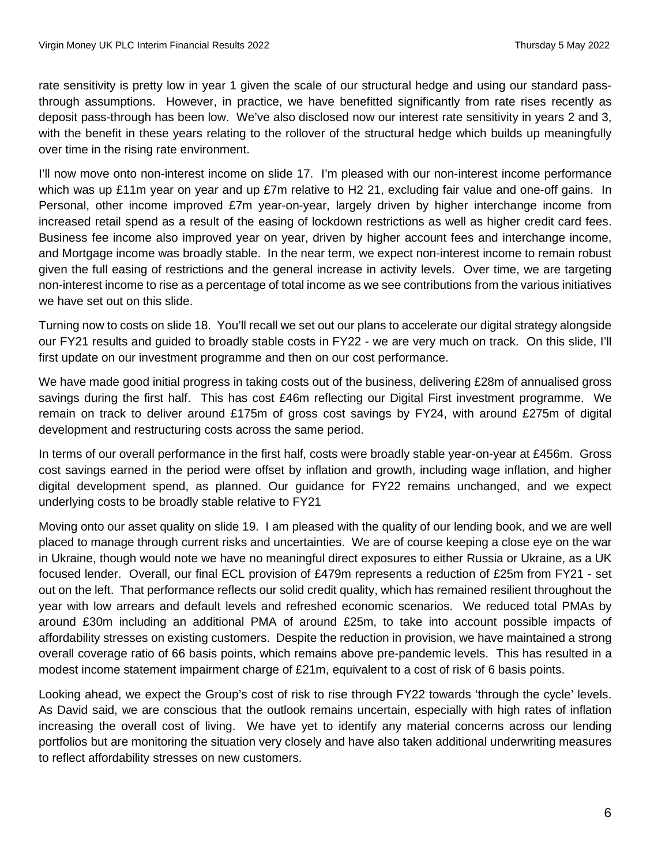rate sensitivity is pretty low in year 1 given the scale of our structural hedge and using our standard passthrough assumptions. However, in practice, we have benefitted significantly from rate rises recently as deposit pass-through has been low. We've also disclosed now our interest rate sensitivity in years 2 and 3, with the benefit in these years relating to the rollover of the structural hedge which builds up meaningfully over time in the rising rate environment.

I'll now move onto non-interest income on slide 17. I'm pleased with our non-interest income performance which was up £11m year on year and up £7m relative to H2 21, excluding fair value and one-off gains. In Personal, other income improved £7m year-on-year, largely driven by higher interchange income from increased retail spend as a result of the easing of lockdown restrictions as well as higher credit card fees. Business fee income also improved year on year, driven by higher account fees and interchange income, and Mortgage income was broadly stable. In the near term, we expect non-interest income to remain robust given the full easing of restrictions and the general increase in activity levels. Over time, we are targeting non-interest income to rise as a percentage of total income as we see contributions from the various initiatives we have set out on this slide.

Turning now to costs on slide 18. You'll recall we set out our plans to accelerate our digital strategy alongside our FY21 results and guided to broadly stable costs in FY22 - we are very much on track. On this slide, I'll first update on our investment programme and then on our cost performance.

We have made good initial progress in taking costs out of the business, delivering £28m of annualised gross savings during the first half. This has cost £46m reflecting our Digital First investment programme. We remain on track to deliver around £175m of gross cost savings by FY24, with around £275m of digital development and restructuring costs across the same period.

In terms of our overall performance in the first half, costs were broadly stable year-on-year at £456m. Gross cost savings earned in the period were offset by inflation and growth, including wage inflation, and higher digital development spend, as planned. Our guidance for FY22 remains unchanged, and we expect underlying costs to be broadly stable relative to FY21

Moving onto our asset quality on slide 19. I am pleased with the quality of our lending book, and we are well placed to manage through current risks and uncertainties. We are of course keeping a close eye on the war in Ukraine, though would note we have no meaningful direct exposures to either Russia or Ukraine, as a UK focused lender. Overall, our final ECL provision of £479m represents a reduction of £25m from FY21 - set out on the left. That performance reflects our solid credit quality, which has remained resilient throughout the year with low arrears and default levels and refreshed economic scenarios. We reduced total PMAs by around £30m including an additional PMA of around £25m, to take into account possible impacts of affordability stresses on existing customers. Despite the reduction in provision, we have maintained a strong overall coverage ratio of 66 basis points, which remains above pre-pandemic levels. This has resulted in a modest income statement impairment charge of £21m, equivalent to a cost of risk of 6 basis points.

Looking ahead, we expect the Group's cost of risk to rise through FY22 towards 'through the cycle' levels. As David said, we are conscious that the outlook remains uncertain, especially with high rates of inflation increasing the overall cost of living. We have yet to identify any material concerns across our lending portfolios but are monitoring the situation very closely and have also taken additional underwriting measures to reflect affordability stresses on new customers.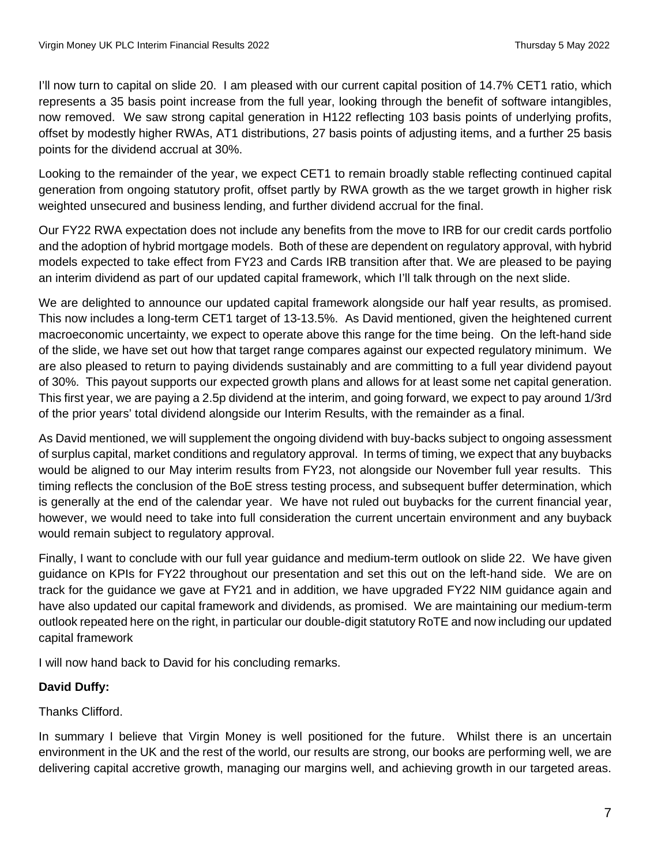I'll now turn to capital on slide 20. I am pleased with our current capital position of 14.7% CET1 ratio, which represents a 35 basis point increase from the full year, looking through the benefit of software intangibles, now removed. We saw strong capital generation in H122 reflecting 103 basis points of underlying profits, offset by modestly higher RWAs, AT1 distributions, 27 basis points of adjusting items, and a further 25 basis points for the dividend accrual at 30%.

Looking to the remainder of the year, we expect CET1 to remain broadly stable reflecting continued capital generation from ongoing statutory profit, offset partly by RWA growth as the we target growth in higher risk weighted unsecured and business lending, and further dividend accrual for the final.

Our FY22 RWA expectation does not include any benefits from the move to IRB for our credit cards portfolio and the adoption of hybrid mortgage models. Both of these are dependent on regulatory approval, with hybrid models expected to take effect from FY23 and Cards IRB transition after that. We are pleased to be paying an interim dividend as part of our updated capital framework, which I'll talk through on the next slide.

We are delighted to announce our updated capital framework alongside our half year results, as promised. This now includes a long-term CET1 target of 13-13.5%. As David mentioned, given the heightened current macroeconomic uncertainty, we expect to operate above this range for the time being. On the left-hand side of the slide, we have set out how that target range compares against our expected regulatory minimum. We are also pleased to return to paying dividends sustainably and are committing to a full year dividend payout of 30%. This payout supports our expected growth plans and allows for at least some net capital generation. This first year, we are paying a 2.5p dividend at the interim, and going forward, we expect to pay around 1/3rd of the prior years' total dividend alongside our Interim Results, with the remainder as a final.

As David mentioned, we will supplement the ongoing dividend with buy-backs subject to ongoing assessment of surplus capital, market conditions and regulatory approval. In terms of timing, we expect that any buybacks would be aligned to our May interim results from FY23, not alongside our November full year results. This timing reflects the conclusion of the BoE stress testing process, and subsequent buffer determination, which is generally at the end of the calendar year. We have not ruled out buybacks for the current financial year, however, we would need to take into full consideration the current uncertain environment and any buyback would remain subject to regulatory approval.

Finally, I want to conclude with our full year guidance and medium-term outlook on slide 22. We have given guidance on KPIs for FY22 throughout our presentation and set this out on the left-hand side. We are on track for the guidance we gave at FY21 and in addition, we have upgraded FY22 NIM guidance again and have also updated our capital framework and dividends, as promised. We are maintaining our medium-term outlook repeated here on the right, in particular our double-digit statutory RoTE and now including our updated capital framework

I will now hand back to David for his concluding remarks.

# **David Duffy:**

# Thanks Clifford.

In summary I believe that Virgin Money is well positioned for the future. Whilst there is an uncertain environment in the UK and the rest of the world, our results are strong, our books are performing well, we are delivering capital accretive growth, managing our margins well, and achieving growth in our targeted areas.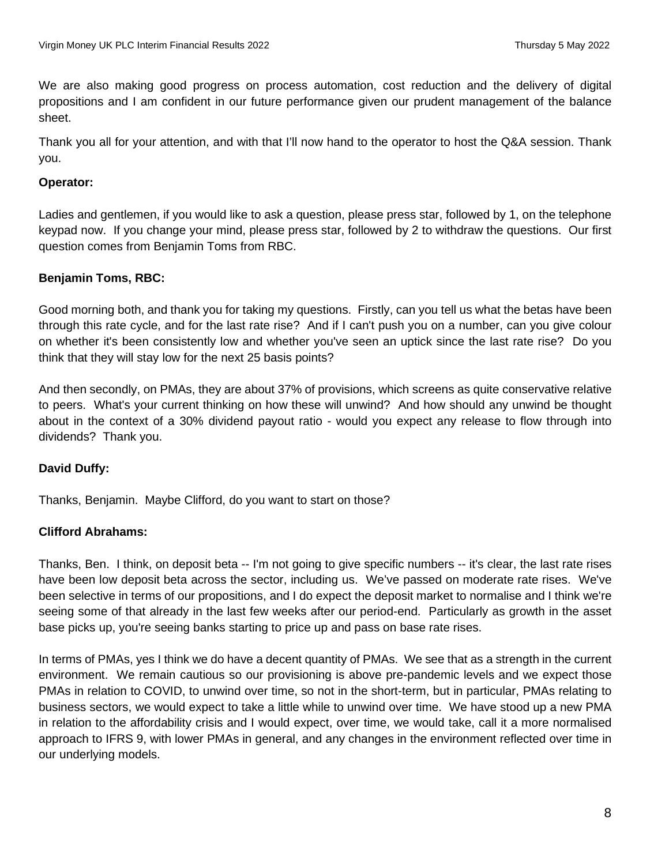We are also making good progress on process automation, cost reduction and the delivery of digital propositions and I am confident in our future performance given our prudent management of the balance sheet.

Thank you all for your attention, and with that I'll now hand to the operator to host the Q&A session. Thank you.

### **Operator:**

Ladies and gentlemen, if you would like to ask a question, please press star, followed by 1, on the telephone keypad now. If you change your mind, please press star, followed by 2 to withdraw the questions. Our first question comes from Benjamin Toms from RBC.

## **Benjamin Toms, RBC:**

Good morning both, and thank you for taking my questions. Firstly, can you tell us what the betas have been through this rate cycle, and for the last rate rise? And if I can't push you on a number, can you give colour on whether it's been consistently low and whether you've seen an uptick since the last rate rise? Do you think that they will stay low for the next 25 basis points?

And then secondly, on PMAs, they are about 37% of provisions, which screens as quite conservative relative to peers. What's your current thinking on how these will unwind? And how should any unwind be thought about in the context of a 30% dividend payout ratio - would you expect any release to flow through into dividends? Thank you.

# **David Duffy:**

Thanks, Benjamin. Maybe Clifford, do you want to start on those?

### **Clifford Abrahams:**

Thanks, Ben. I think, on deposit beta -- I'm not going to give specific numbers -- it's clear, the last rate rises have been low deposit beta across the sector, including us. We've passed on moderate rate rises. We've been selective in terms of our propositions, and I do expect the deposit market to normalise and I think we're seeing some of that already in the last few weeks after our period-end. Particularly as growth in the asset base picks up, you're seeing banks starting to price up and pass on base rate rises.

In terms of PMAs, yes I think we do have a decent quantity of PMAs. We see that as a strength in the current environment. We remain cautious so our provisioning is above pre-pandemic levels and we expect those PMAs in relation to COVID, to unwind over time, so not in the short-term, but in particular, PMAs relating to business sectors, we would expect to take a little while to unwind over time. We have stood up a new PMA in relation to the affordability crisis and I would expect, over time, we would take, call it a more normalised approach to IFRS 9, with lower PMAs in general, and any changes in the environment reflected over time in our underlying models.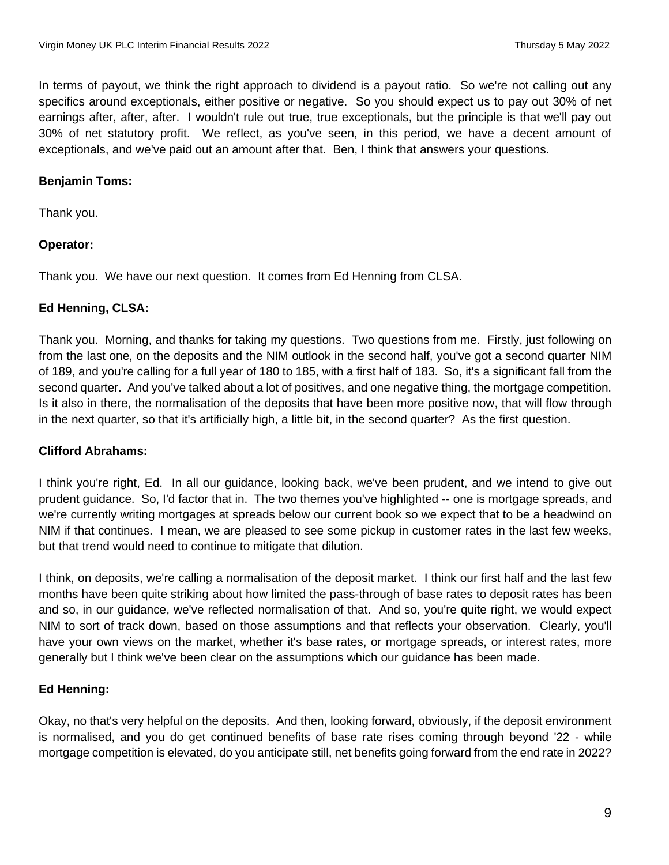In terms of payout, we think the right approach to dividend is a payout ratio. So we're not calling out any specifics around exceptionals, either positive or negative. So you should expect us to pay out 30% of net earnings after, after, after. I wouldn't rule out true, true exceptionals, but the principle is that we'll pay out 30% of net statutory profit. We reflect, as you've seen, in this period, we have a decent amount of exceptionals, and we've paid out an amount after that. Ben, I think that answers your questions.

## **Benjamin Toms:**

Thank you.

# **Operator:**

Thank you. We have our next question. It comes from Ed Henning from CLSA.

## **Ed Henning, CLSA:**

Thank you. Morning, and thanks for taking my questions. Two questions from me. Firstly, just following on from the last one, on the deposits and the NIM outlook in the second half, you've got a second quarter NIM of 189, and you're calling for a full year of 180 to 185, with a first half of 183. So, it's a significant fall from the second quarter. And you've talked about a lot of positives, and one negative thing, the mortgage competition. Is it also in there, the normalisation of the deposits that have been more positive now, that will flow through in the next quarter, so that it's artificially high, a little bit, in the second quarter? As the first question.

# **Clifford Abrahams:**

I think you're right, Ed. In all our guidance, looking back, we've been prudent, and we intend to give out prudent guidance. So, I'd factor that in. The two themes you've highlighted -- one is mortgage spreads, and we're currently writing mortgages at spreads below our current book so we expect that to be a headwind on NIM if that continues. I mean, we are pleased to see some pickup in customer rates in the last few weeks, but that trend would need to continue to mitigate that dilution.

I think, on deposits, we're calling a normalisation of the deposit market. I think our first half and the last few months have been quite striking about how limited the pass-through of base rates to deposit rates has been and so, in our guidance, we've reflected normalisation of that. And so, you're quite right, we would expect NIM to sort of track down, based on those assumptions and that reflects your observation. Clearly, you'll have your own views on the market, whether it's base rates, or mortgage spreads, or interest rates, more generally but I think we've been clear on the assumptions which our guidance has been made.

# **Ed Henning:**

Okay, no that's very helpful on the deposits. And then, looking forward, obviously, if the deposit environment is normalised, and you do get continued benefits of base rate rises coming through beyond '22 - while mortgage competition is elevated, do you anticipate still, net benefits going forward from the end rate in 2022?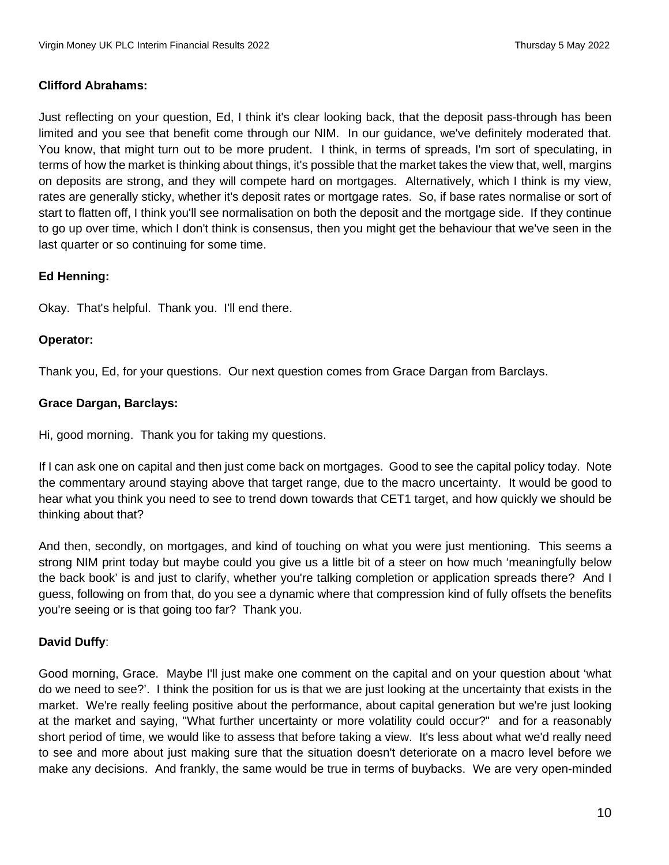### **Clifford Abrahams:**

Just reflecting on your question, Ed, I think it's clear looking back, that the deposit pass-through has been limited and you see that benefit come through our NIM. In our guidance, we've definitely moderated that. You know, that might turn out to be more prudent. I think, in terms of spreads, I'm sort of speculating, in terms of how the market is thinking about things, it's possible that the market takes the view that, well, margins on deposits are strong, and they will compete hard on mortgages. Alternatively, which I think is my view, rates are generally sticky, whether it's deposit rates or mortgage rates. So, if base rates normalise or sort of start to flatten off, I think you'll see normalisation on both the deposit and the mortgage side. If they continue to go up over time, which I don't think is consensus, then you might get the behaviour that we've seen in the last quarter or so continuing for some time.

### **Ed Henning:**

Okay. That's helpful. Thank you. I'll end there.

### **Operator:**

Thank you, Ed, for your questions. Our next question comes from Grace Dargan from Barclays.

## **Grace Dargan, Barclays:**

Hi, good morning. Thank you for taking my questions.

If I can ask one on capital and then just come back on mortgages. Good to see the capital policy today. Note the commentary around staying above that target range, due to the macro uncertainty. It would be good to hear what you think you need to see to trend down towards that CET1 target, and how quickly we should be thinking about that?

And then, secondly, on mortgages, and kind of touching on what you were just mentioning. This seems a strong NIM print today but maybe could you give us a little bit of a steer on how much 'meaningfully below the back book' is and just to clarify, whether you're talking completion or application spreads there? And I guess, following on from that, do you see a dynamic where that compression kind of fully offsets the benefits you're seeing or is that going too far? Thank you.

# **David Duffy**:

Good morning, Grace. Maybe I'll just make one comment on the capital and on your question about 'what do we need to see?'. I think the position for us is that we are just looking at the uncertainty that exists in the market. We're really feeling positive about the performance, about capital generation but we're just looking at the market and saying, "What further uncertainty or more volatility could occur?" and for a reasonably short period of time, we would like to assess that before taking a view. It's less about what we'd really need to see and more about just making sure that the situation doesn't deteriorate on a macro level before we make any decisions. And frankly, the same would be true in terms of buybacks. We are very open-minded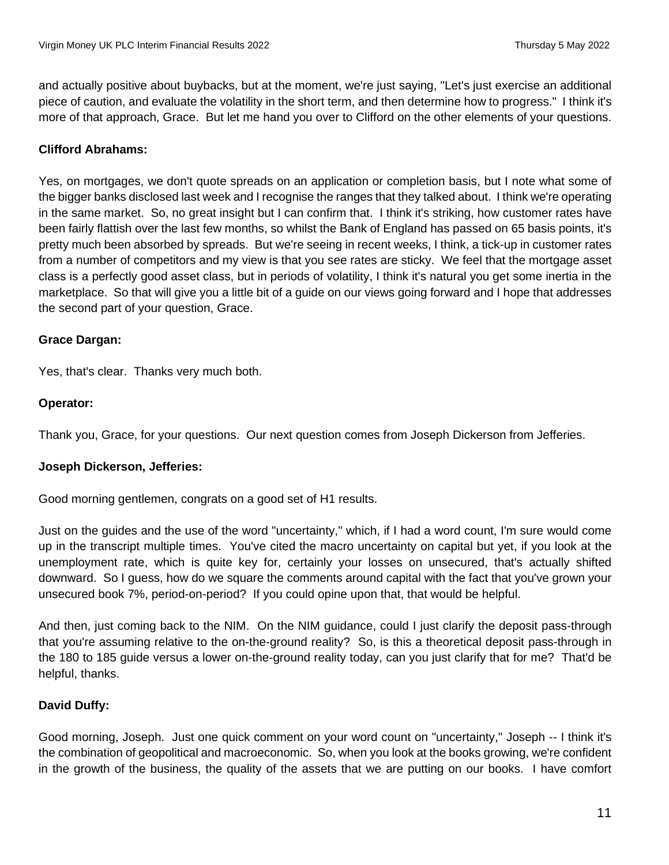and actually positive about buybacks, but at the moment, we're just saying, "Let's just exercise an additional piece of caution, and evaluate the volatility in the short term, and then determine how to progress." I think it's more of that approach, Grace. But let me hand you over to Clifford on the other elements of your questions.

## **Clifford Abrahams:**

Yes, on mortgages, we don't quote spreads on an application or completion basis, but I note what some of the bigger banks disclosed last week and I recognise the ranges that they talked about. I think we're operating in the same market. So, no great insight but I can confirm that. I think it's striking, how customer rates have been fairly flattish over the last few months, so whilst the Bank of England has passed on 65 basis points, it's pretty much been absorbed by spreads. But we're seeing in recent weeks, I think, a tick-up in customer rates from a number of competitors and my view is that you see rates are sticky. We feel that the mortgage asset class is a perfectly good asset class, but in periods of volatility, I think it's natural you get some inertia in the marketplace. So that will give you a little bit of a guide on our views going forward and I hope that addresses the second part of your question, Grace.

### **Grace Dargan:**

Yes, that's clear. Thanks very much both.

### **Operator:**

Thank you, Grace, for your questions. Our next question comes from Joseph Dickerson from Jefferies.

#### **Joseph Dickerson, Jefferies:**

Good morning gentlemen, congrats on a good set of H1 results.

Just on the guides and the use of the word "uncertainty," which, if I had a word count, I'm sure would come up in the transcript multiple times. You've cited the macro uncertainty on capital but yet, if you look at the unemployment rate, which is quite key for, certainly your losses on unsecured, that's actually shifted downward. So I guess, how do we square the comments around capital with the fact that you've grown your unsecured book 7%, period-on-period? If you could opine upon that, that would be helpful.

And then, just coming back to the NIM. On the NIM guidance, could I just clarify the deposit pass-through that you're assuming relative to the on-the-ground reality? So, is this a theoretical deposit pass-through in the 180 to 185 guide versus a lower on-the-ground reality today, can you just clarify that for me? That'd be helpful, thanks.

### **David Duffy:**

Good morning, Joseph. Just one quick comment on your word count on "uncertainty," Joseph -- I think it's the combination of geopolitical and macroeconomic. So, when you look at the books growing, we're confident in the growth of the business, the quality of the assets that we are putting on our books. I have comfort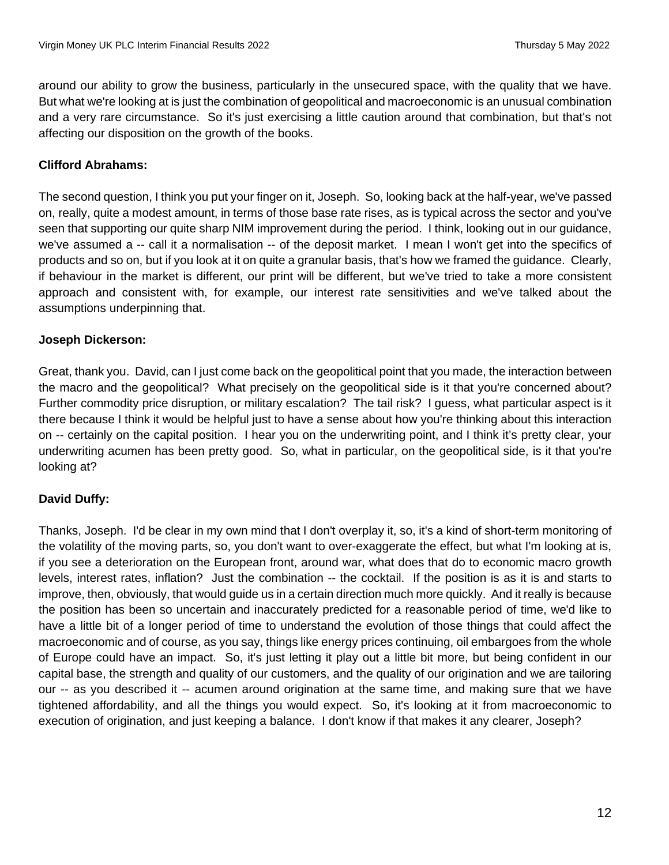around our ability to grow the business, particularly in the unsecured space, with the quality that we have. But what we're looking at is just the combination of geopolitical and macroeconomic is an unusual combination and a very rare circumstance. So it's just exercising a little caution around that combination, but that's not affecting our disposition on the growth of the books.

## **Clifford Abrahams:**

The second question, I think you put your finger on it, Joseph. So, looking back at the half-year, we've passed on, really, quite a modest amount, in terms of those base rate rises, as is typical across the sector and you've seen that supporting our quite sharp NIM improvement during the period. I think, looking out in our guidance, we've assumed a -- call it a normalisation -- of the deposit market. I mean I won't get into the specifics of products and so on, but if you look at it on quite a granular basis, that's how we framed the guidance. Clearly, if behaviour in the market is different, our print will be different, but we've tried to take a more consistent approach and consistent with, for example, our interest rate sensitivities and we've talked about the assumptions underpinning that.

### **Joseph Dickerson:**

Great, thank you. David, can I just come back on the geopolitical point that you made, the interaction between the macro and the geopolitical? What precisely on the geopolitical side is it that you're concerned about? Further commodity price disruption, or military escalation? The tail risk? I guess, what particular aspect is it there because I think it would be helpful just to have a sense about how you're thinking about this interaction on -- certainly on the capital position. I hear you on the underwriting point, and I think it's pretty clear, your underwriting acumen has been pretty good. So, what in particular, on the geopolitical side, is it that you're looking at?

# **David Duffy:**

Thanks, Joseph. I'd be clear in my own mind that I don't overplay it, so, it's a kind of short-term monitoring of the volatility of the moving parts, so, you don't want to over-exaggerate the effect, but what I'm looking at is, if you see a deterioration on the European front, around war, what does that do to economic macro growth levels, interest rates, inflation? Just the combination -- the cocktail. If the position is as it is and starts to improve, then, obviously, that would guide us in a certain direction much more quickly. And it really is because the position has been so uncertain and inaccurately predicted for a reasonable period of time, we'd like to have a little bit of a longer period of time to understand the evolution of those things that could affect the macroeconomic and of course, as you say, things like energy prices continuing, oil embargoes from the whole of Europe could have an impact. So, it's just letting it play out a little bit more, but being confident in our capital base, the strength and quality of our customers, and the quality of our origination and we are tailoring our -- as you described it -- acumen around origination at the same time, and making sure that we have tightened affordability, and all the things you would expect. So, it's looking at it from macroeconomic to execution of origination, and just keeping a balance. I don't know if that makes it any clearer, Joseph?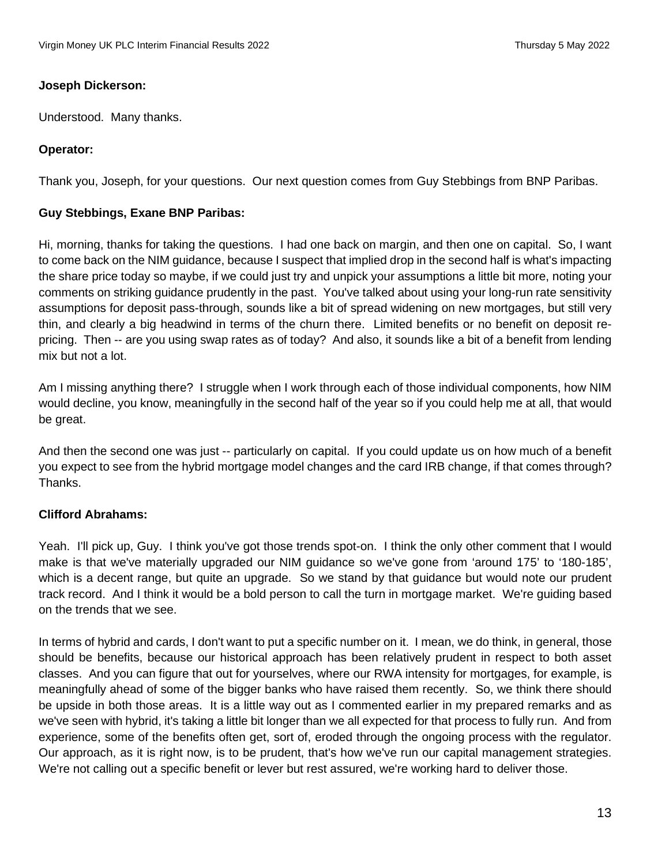### **Joseph Dickerson:**

Understood. Many thanks.

## **Operator:**

Thank you, Joseph, for your questions. Our next question comes from Guy Stebbings from BNP Paribas.

## **Guy Stebbings, Exane BNP Paribas:**

Hi, morning, thanks for taking the questions. I had one back on margin, and then one on capital. So, I want to come back on the NIM guidance, because I suspect that implied drop in the second half is what's impacting the share price today so maybe, if we could just try and unpick your assumptions a little bit more, noting your comments on striking guidance prudently in the past. You've talked about using your long-run rate sensitivity assumptions for deposit pass-through, sounds like a bit of spread widening on new mortgages, but still very thin, and clearly a big headwind in terms of the churn there. Limited benefits or no benefit on deposit repricing. Then -- are you using swap rates as of today? And also, it sounds like a bit of a benefit from lending mix but not a lot.

Am I missing anything there? I struggle when I work through each of those individual components, how NIM would decline, you know, meaningfully in the second half of the year so if you could help me at all, that would be great.

And then the second one was just -- particularly on capital. If you could update us on how much of a benefit you expect to see from the hybrid mortgage model changes and the card IRB change, if that comes through? Thanks.

### **Clifford Abrahams:**

Yeah. I'll pick up, Guy. I think you've got those trends spot-on. I think the only other comment that I would make is that we've materially upgraded our NIM guidance so we've gone from 'around 175' to '180-185', which is a decent range, but quite an upgrade. So we stand by that guidance but would note our prudent track record. And I think it would be a bold person to call the turn in mortgage market. We're guiding based on the trends that we see.

In terms of hybrid and cards, I don't want to put a specific number on it. I mean, we do think, in general, those should be benefits, because our historical approach has been relatively prudent in respect to both asset classes. And you can figure that out for yourselves, where our RWA intensity for mortgages, for example, is meaningfully ahead of some of the bigger banks who have raised them recently. So, we think there should be upside in both those areas. It is a little way out as I commented earlier in my prepared remarks and as we've seen with hybrid, it's taking a little bit longer than we all expected for that process to fully run. And from experience, some of the benefits often get, sort of, eroded through the ongoing process with the regulator. Our approach, as it is right now, is to be prudent, that's how we've run our capital management strategies. We're not calling out a specific benefit or lever but rest assured, we're working hard to deliver those.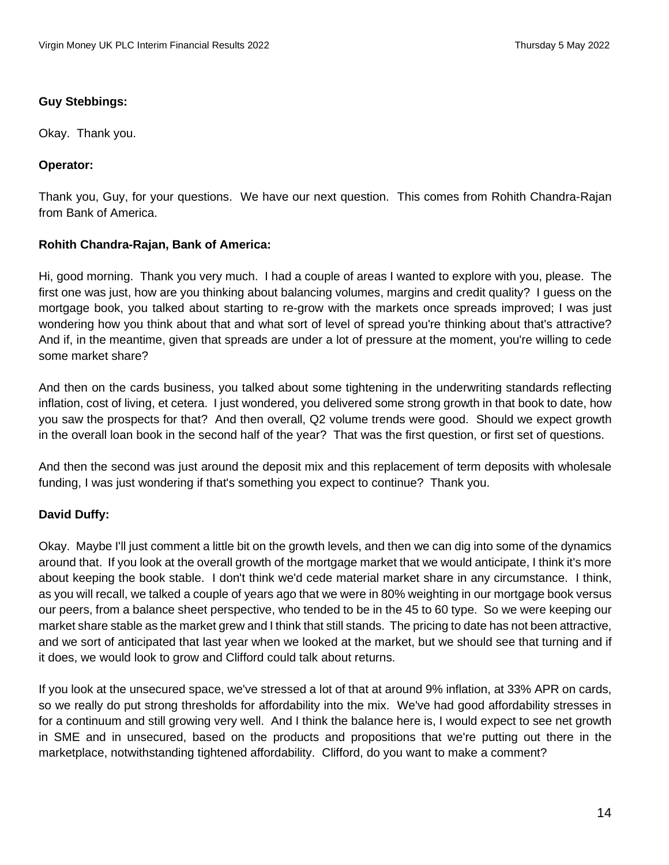### **Guy Stebbings:**

Okay. Thank you.

### **Operator:**

Thank you, Guy, for your questions. We have our next question. This comes from Rohith Chandra-Rajan from Bank of America.

#### **Rohith Chandra-Rajan, Bank of America:**

Hi, good morning. Thank you very much. I had a couple of areas I wanted to explore with you, please. The first one was just, how are you thinking about balancing volumes, margins and credit quality? I guess on the mortgage book, you talked about starting to re-grow with the markets once spreads improved; I was just wondering how you think about that and what sort of level of spread you're thinking about that's attractive? And if, in the meantime, given that spreads are under a lot of pressure at the moment, you're willing to cede some market share?

And then on the cards business, you talked about some tightening in the underwriting standards reflecting inflation, cost of living, et cetera. I just wondered, you delivered some strong growth in that book to date, how you saw the prospects for that? And then overall, Q2 volume trends were good. Should we expect growth in the overall loan book in the second half of the year? That was the first question, or first set of questions.

And then the second was just around the deposit mix and this replacement of term deposits with wholesale funding, I was just wondering if that's something you expect to continue? Thank you.

### **David Duffy:**

Okay. Maybe I'll just comment a little bit on the growth levels, and then we can dig into some of the dynamics around that. If you look at the overall growth of the mortgage market that we would anticipate, I think it's more about keeping the book stable. I don't think we'd cede material market share in any circumstance. I think, as you will recall, we talked a couple of years ago that we were in 80% weighting in our mortgage book versus our peers, from a balance sheet perspective, who tended to be in the 45 to 60 type. So we were keeping our market share stable as the market grew and I think that still stands. The pricing to date has not been attractive, and we sort of anticipated that last year when we looked at the market, but we should see that turning and if it does, we would look to grow and Clifford could talk about returns.

If you look at the unsecured space, we've stressed a lot of that at around 9% inflation, at 33% APR on cards, so we really do put strong thresholds for affordability into the mix. We've had good affordability stresses in for a continuum and still growing very well. And I think the balance here is, I would expect to see net growth in SME and in unsecured, based on the products and propositions that we're putting out there in the marketplace, notwithstanding tightened affordability. Clifford, do you want to make a comment?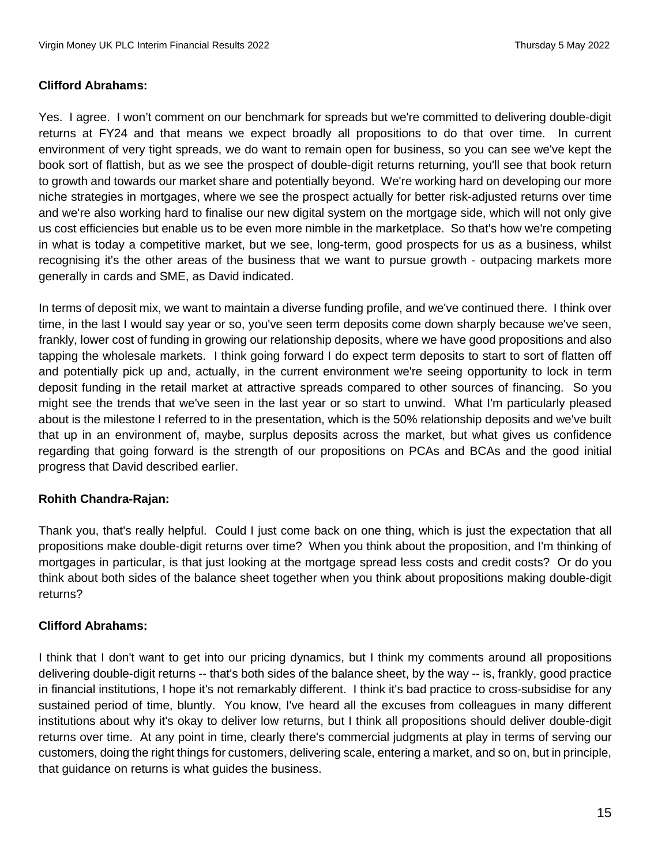#### **Clifford Abrahams:**

Yes. I agree. I won't comment on our benchmark for spreads but we're committed to delivering double-digit returns at FY24 and that means we expect broadly all propositions to do that over time. In current environment of very tight spreads, we do want to remain open for business, so you can see we've kept the book sort of flattish, but as we see the prospect of double-digit returns returning, you'll see that book return to growth and towards our market share and potentially beyond. We're working hard on developing our more niche strategies in mortgages, where we see the prospect actually for better risk-adjusted returns over time and we're also working hard to finalise our new digital system on the mortgage side, which will not only give us cost efficiencies but enable us to be even more nimble in the marketplace. So that's how we're competing in what is today a competitive market, but we see, long-term, good prospects for us as a business, whilst recognising it's the other areas of the business that we want to pursue growth - outpacing markets more generally in cards and SME, as David indicated.

In terms of deposit mix, we want to maintain a diverse funding profile, and we've continued there. I think over time, in the last I would say year or so, you've seen term deposits come down sharply because we've seen, frankly, lower cost of funding in growing our relationship deposits, where we have good propositions and also tapping the wholesale markets. I think going forward I do expect term deposits to start to sort of flatten off and potentially pick up and, actually, in the current environment we're seeing opportunity to lock in term deposit funding in the retail market at attractive spreads compared to other sources of financing. So you might see the trends that we've seen in the last year or so start to unwind. What I'm particularly pleased about is the milestone I referred to in the presentation, which is the 50% relationship deposits and we've built that up in an environment of, maybe, surplus deposits across the market, but what gives us confidence regarding that going forward is the strength of our propositions on PCAs and BCAs and the good initial progress that David described earlier.

### **Rohith Chandra-Rajan:**

Thank you, that's really helpful. Could I just come back on one thing, which is just the expectation that all propositions make double-digit returns over time? When you think about the proposition, and I'm thinking of mortgages in particular, is that just looking at the mortgage spread less costs and credit costs? Or do you think about both sides of the balance sheet together when you think about propositions making double-digit returns?

### **Clifford Abrahams:**

I think that I don't want to get into our pricing dynamics, but I think my comments around all propositions delivering double-digit returns -- that's both sides of the balance sheet, by the way -- is, frankly, good practice in financial institutions, I hope it's not remarkably different. I think it's bad practice to cross-subsidise for any sustained period of time, bluntly. You know, I've heard all the excuses from colleagues in many different institutions about why it's okay to deliver low returns, but I think all propositions should deliver double-digit returns over time. At any point in time, clearly there's commercial judgments at play in terms of serving our customers, doing the right things for customers, delivering scale, entering a market, and so on, but in principle, that guidance on returns is what guides the business.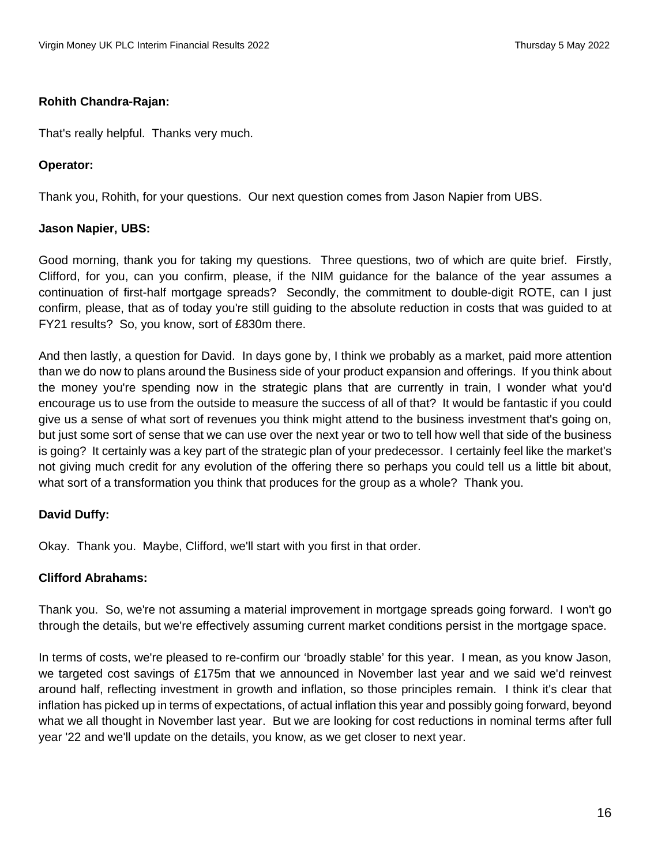### **Rohith Chandra-Rajan:**

That's really helpful. Thanks very much.

#### **Operator:**

Thank you, Rohith, for your questions. Our next question comes from Jason Napier from UBS.

#### **Jason Napier, UBS:**

Good morning, thank you for taking my questions. Three questions, two of which are quite brief. Firstly, Clifford, for you, can you confirm, please, if the NIM guidance for the balance of the year assumes a continuation of first-half mortgage spreads? Secondly, the commitment to double-digit ROTE, can I just confirm, please, that as of today you're still guiding to the absolute reduction in costs that was guided to at FY21 results? So, you know, sort of £830m there.

And then lastly, a question for David. In days gone by, I think we probably as a market, paid more attention than we do now to plans around the Business side of your product expansion and offerings. If you think about the money you're spending now in the strategic plans that are currently in train, I wonder what you'd encourage us to use from the outside to measure the success of all of that? It would be fantastic if you could give us a sense of what sort of revenues you think might attend to the business investment that's going on, but just some sort of sense that we can use over the next year or two to tell how well that side of the business is going? It certainly was a key part of the strategic plan of your predecessor. I certainly feel like the market's not giving much credit for any evolution of the offering there so perhaps you could tell us a little bit about, what sort of a transformation you think that produces for the group as a whole? Thank you.

### **David Duffy:**

Okay. Thank you. Maybe, Clifford, we'll start with you first in that order.

### **Clifford Abrahams:**

Thank you. So, we're not assuming a material improvement in mortgage spreads going forward. I won't go through the details, but we're effectively assuming current market conditions persist in the mortgage space.

In terms of costs, we're pleased to re-confirm our 'broadly stable' for this year. I mean, as you know Jason, we targeted cost savings of £175m that we announced in November last year and we said we'd reinvest around half, reflecting investment in growth and inflation, so those principles remain. I think it's clear that inflation has picked up in terms of expectations, of actual inflation this year and possibly going forward, beyond what we all thought in November last year. But we are looking for cost reductions in nominal terms after full year '22 and we'll update on the details, you know, as we get closer to next year.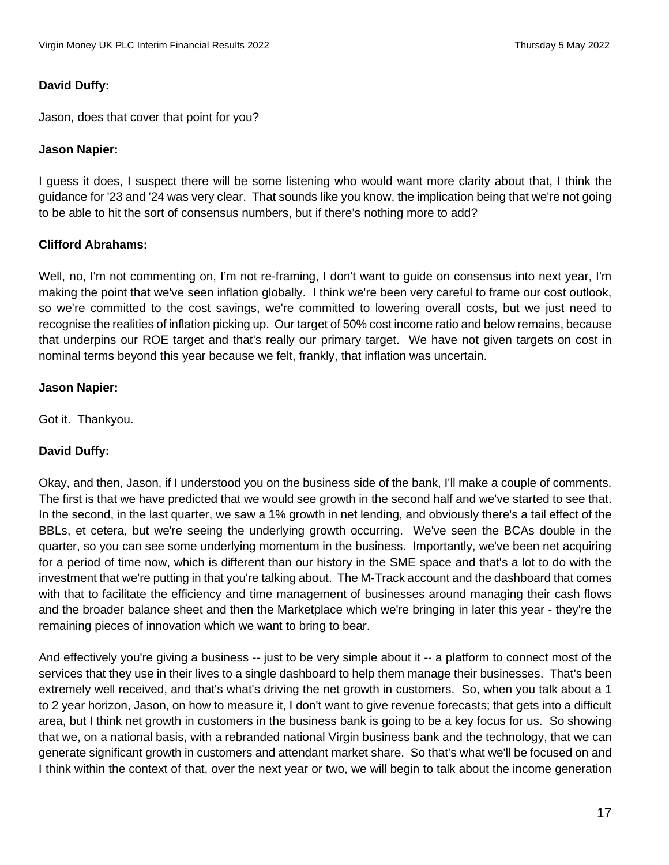#### **David Duffy:**

Jason, does that cover that point for you?

#### **Jason Napier:**

I guess it does, I suspect there will be some listening who would want more clarity about that, I think the guidance for '23 and '24 was very clear. That sounds like you know, the implication being that we're not going to be able to hit the sort of consensus numbers, but if there's nothing more to add?

#### **Clifford Abrahams:**

Well, no, I'm not commenting on, I'm not re-framing, I don't want to guide on consensus into next year, I'm making the point that we've seen inflation globally. I think we're been very careful to frame our cost outlook, so we're committed to the cost savings, we're committed to lowering overall costs, but we just need to recognise the realities of inflation picking up. Our target of 50% cost income ratio and below remains, because that underpins our ROE target and that's really our primary target. We have not given targets on cost in nominal terms beyond this year because we felt, frankly, that inflation was uncertain.

#### **Jason Napier:**

Got it. Thankyou.

### **David Duffy:**

Okay, and then, Jason, if I understood you on the business side of the bank, I'll make a couple of comments. The first is that we have predicted that we would see growth in the second half and we've started to see that. In the second, in the last quarter, we saw a 1% growth in net lending, and obviously there's a tail effect of the BBLs, et cetera, but we're seeing the underlying growth occurring. We've seen the BCAs double in the quarter, so you can see some underlying momentum in the business. Importantly, we've been net acquiring for a period of time now, which is different than our history in the SME space and that's a lot to do with the investment that we're putting in that you're talking about. The M-Track account and the dashboard that comes with that to facilitate the efficiency and time management of businesses around managing their cash flows and the broader balance sheet and then the Marketplace which we're bringing in later this year - they're the remaining pieces of innovation which we want to bring to bear.

And effectively you're giving a business -- just to be very simple about it -- a platform to connect most of the services that they use in their lives to a single dashboard to help them manage their businesses. That's been extremely well received, and that's what's driving the net growth in customers. So, when you talk about a 1 to 2 year horizon, Jason, on how to measure it, I don't want to give revenue forecasts; that gets into a difficult area, but I think net growth in customers in the business bank is going to be a key focus for us. So showing that we, on a national basis, with a rebranded national Virgin business bank and the technology, that we can generate significant growth in customers and attendant market share. So that's what we'll be focused on and I think within the context of that, over the next year or two, we will begin to talk about the income generation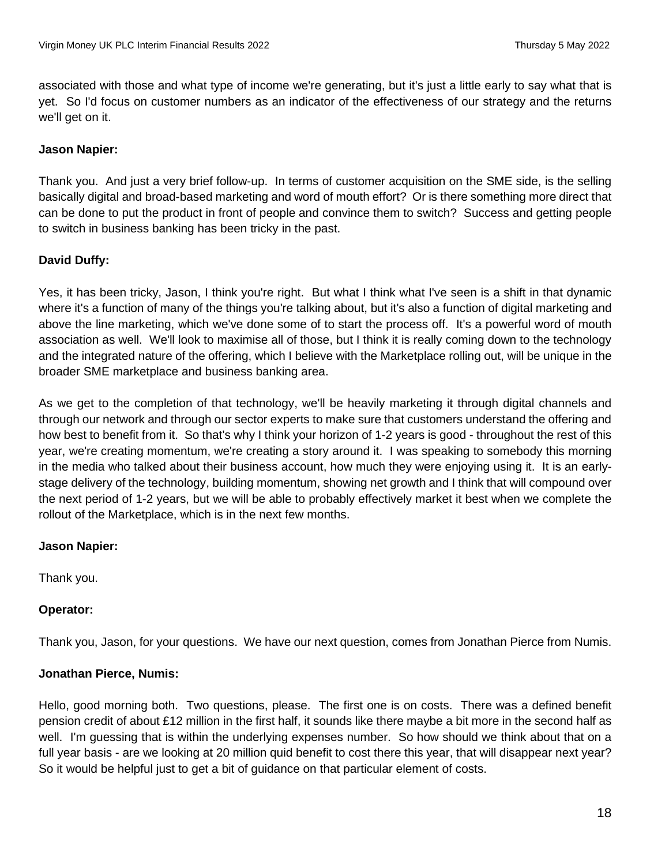associated with those and what type of income we're generating, but it's just a little early to say what that is yet. So I'd focus on customer numbers as an indicator of the effectiveness of our strategy and the returns we'll get on it.

## **Jason Napier:**

Thank you. And just a very brief follow-up. In terms of customer acquisition on the SME side, is the selling basically digital and broad-based marketing and word of mouth effort? Or is there something more direct that can be done to put the product in front of people and convince them to switch? Success and getting people to switch in business banking has been tricky in the past.

# **David Duffy:**

Yes, it has been tricky, Jason, I think you're right. But what I think what I've seen is a shift in that dynamic where it's a function of many of the things you're talking about, but it's also a function of digital marketing and above the line marketing, which we've done some of to start the process off. It's a powerful word of mouth association as well. We'll look to maximise all of those, but I think it is really coming down to the technology and the integrated nature of the offering, which I believe with the Marketplace rolling out, will be unique in the broader SME marketplace and business banking area.

As we get to the completion of that technology, we'll be heavily marketing it through digital channels and through our network and through our sector experts to make sure that customers understand the offering and how best to benefit from it. So that's why I think your horizon of 1-2 years is good - throughout the rest of this year, we're creating momentum, we're creating a story around it. I was speaking to somebody this morning in the media who talked about their business account, how much they were enjoying using it. It is an earlystage delivery of the technology, building momentum, showing net growth and I think that will compound over the next period of 1-2 years, but we will be able to probably effectively market it best when we complete the rollout of the Marketplace, which is in the next few months.

### **Jason Napier:**

Thank you.

### **Operator:**

Thank you, Jason, for your questions. We have our next question, comes from Jonathan Pierce from Numis.

### **Jonathan Pierce, Numis:**

Hello, good morning both. Two questions, please. The first one is on costs. There was a defined benefit pension credit of about £12 million in the first half, it sounds like there maybe a bit more in the second half as well. I'm guessing that is within the underlying expenses number. So how should we think about that on a full year basis - are we looking at 20 million quid benefit to cost there this year, that will disappear next year? So it would be helpful just to get a bit of guidance on that particular element of costs.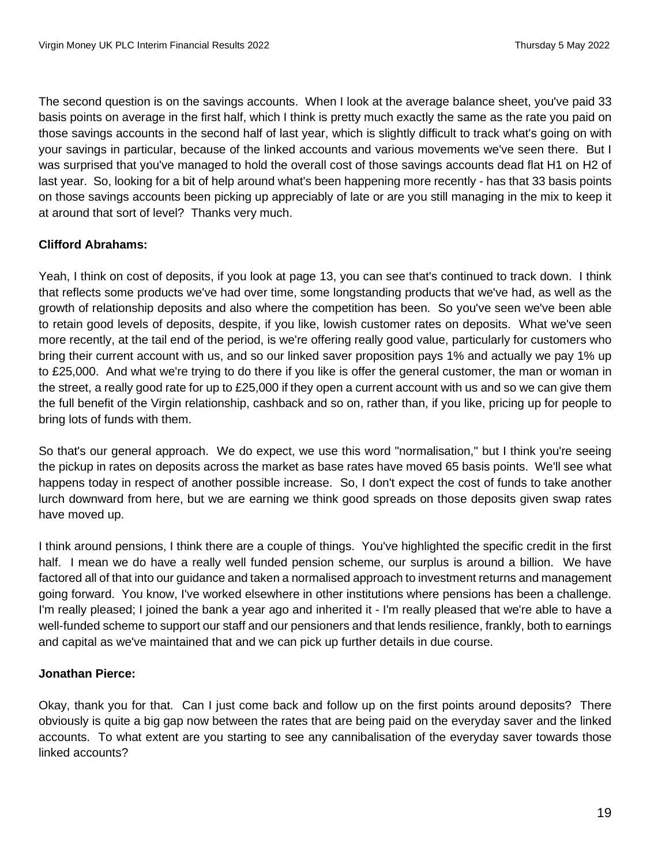The second question is on the savings accounts. When I look at the average balance sheet, you've paid 33 basis points on average in the first half, which I think is pretty much exactly the same as the rate you paid on those savings accounts in the second half of last year, which is slightly difficult to track what's going on with your savings in particular, because of the linked accounts and various movements we've seen there. But I was surprised that you've managed to hold the overall cost of those savings accounts dead flat H1 on H2 of last year. So, looking for a bit of help around what's been happening more recently - has that 33 basis points on those savings accounts been picking up appreciably of late or are you still managing in the mix to keep it at around that sort of level? Thanks very much.

# **Clifford Abrahams:**

Yeah, I think on cost of deposits, if you look at page 13, you can see that's continued to track down. I think that reflects some products we've had over time, some longstanding products that we've had, as well as the growth of relationship deposits and also where the competition has been. So you've seen we've been able to retain good levels of deposits, despite, if you like, lowish customer rates on deposits. What we've seen more recently, at the tail end of the period, is we're offering really good value, particularly for customers who bring their current account with us, and so our linked saver proposition pays 1% and actually we pay 1% up to £25,000. And what we're trying to do there if you like is offer the general customer, the man or woman in the street, a really good rate for up to £25,000 if they open a current account with us and so we can give them the full benefit of the Virgin relationship, cashback and so on, rather than, if you like, pricing up for people to bring lots of funds with them.

So that's our general approach. We do expect, we use this word "normalisation," but I think you're seeing the pickup in rates on deposits across the market as base rates have moved 65 basis points. We'll see what happens today in respect of another possible increase. So, I don't expect the cost of funds to take another lurch downward from here, but we are earning we think good spreads on those deposits given swap rates have moved up.

I think around pensions, I think there are a couple of things. You've highlighted the specific credit in the first half. I mean we do have a really well funded pension scheme, our surplus is around a billion. We have factored all of that into our guidance and taken a normalised approach to investment returns and management going forward. You know, I've worked elsewhere in other institutions where pensions has been a challenge. I'm really pleased; I joined the bank a year ago and inherited it - I'm really pleased that we're able to have a well-funded scheme to support our staff and our pensioners and that lends resilience, frankly, both to earnings and capital as we've maintained that and we can pick up further details in due course.

# **Jonathan Pierce:**

Okay, thank you for that. Can I just come back and follow up on the first points around deposits? There obviously is quite a big gap now between the rates that are being paid on the everyday saver and the linked accounts. To what extent are you starting to see any cannibalisation of the everyday saver towards those linked accounts?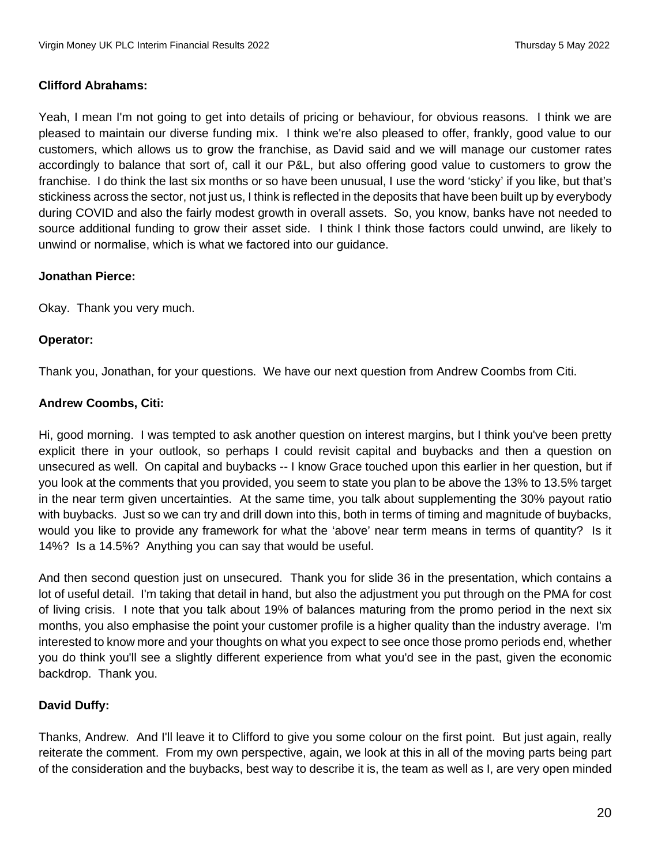### **Clifford Abrahams:**

Yeah, I mean I'm not going to get into details of pricing or behaviour, for obvious reasons. I think we are pleased to maintain our diverse funding mix. I think we're also pleased to offer, frankly, good value to our customers, which allows us to grow the franchise, as David said and we will manage our customer rates accordingly to balance that sort of, call it our P&L, but also offering good value to customers to grow the franchise. I do think the last six months or so have been unusual, I use the word 'sticky' if you like, but that's stickiness across the sector, not just us, I think is reflected in the deposits that have been built up by everybody during COVID and also the fairly modest growth in overall assets. So, you know, banks have not needed to source additional funding to grow their asset side. I think I think those factors could unwind, are likely to unwind or normalise, which is what we factored into our guidance.

### **Jonathan Pierce:**

Okay. Thank you very much.

### **Operator:**

Thank you, Jonathan, for your questions. We have our next question from Andrew Coombs from Citi.

#### **Andrew Coombs, Citi:**

Hi, good morning. I was tempted to ask another question on interest margins, but I think you've been pretty explicit there in your outlook, so perhaps I could revisit capital and buybacks and then a question on unsecured as well. On capital and buybacks -- I know Grace touched upon this earlier in her question, but if you look at the comments that you provided, you seem to state you plan to be above the 13% to 13.5% target in the near term given uncertainties. At the same time, you talk about supplementing the 30% payout ratio with buybacks. Just so we can try and drill down into this, both in terms of timing and magnitude of buybacks, would you like to provide any framework for what the 'above' near term means in terms of quantity? Is it 14%? Is a 14.5%? Anything you can say that would be useful.

And then second question just on unsecured. Thank you for slide 36 in the presentation, which contains a lot of useful detail. I'm taking that detail in hand, but also the adjustment you put through on the PMA for cost of living crisis. I note that you talk about 19% of balances maturing from the promo period in the next six months, you also emphasise the point your customer profile is a higher quality than the industry average. I'm interested to know more and your thoughts on what you expect to see once those promo periods end, whether you do think you'll see a slightly different experience from what you'd see in the past, given the economic backdrop. Thank you.

### **David Duffy:**

Thanks, Andrew. And I'll leave it to Clifford to give you some colour on the first point. But just again, really reiterate the comment. From my own perspective, again, we look at this in all of the moving parts being part of the consideration and the buybacks, best way to describe it is, the team as well as I, are very open minded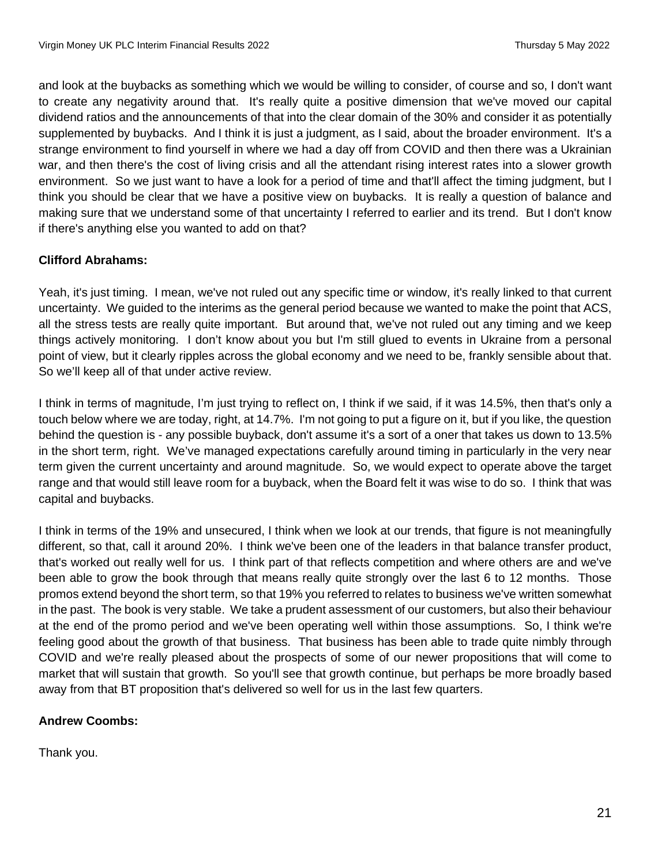and look at the buybacks as something which we would be willing to consider, of course and so, I don't want to create any negativity around that. It's really quite a positive dimension that we've moved our capital dividend ratios and the announcements of that into the clear domain of the 30% and consider it as potentially supplemented by buybacks. And I think it is just a judgment, as I said, about the broader environment. It's a strange environment to find yourself in where we had a day off from COVID and then there was a Ukrainian war, and then there's the cost of living crisis and all the attendant rising interest rates into a slower growth environment. So we just want to have a look for a period of time and that'll affect the timing judgment, but I think you should be clear that we have a positive view on buybacks. It is really a question of balance and making sure that we understand some of that uncertainty I referred to earlier and its trend. But I don't know if there's anything else you wanted to add on that?

# **Clifford Abrahams:**

Yeah, it's just timing. I mean, we've not ruled out any specific time or window, it's really linked to that current uncertainty. We guided to the interims as the general period because we wanted to make the point that ACS, all the stress tests are really quite important. But around that, we've not ruled out any timing and we keep things actively monitoring. I don't know about you but I'm still glued to events in Ukraine from a personal point of view, but it clearly ripples across the global economy and we need to be, frankly sensible about that. So we'll keep all of that under active review.

I think in terms of magnitude, I'm just trying to reflect on, I think if we said, if it was 14.5%, then that's only a touch below where we are today, right, at 14.7%. I'm not going to put a figure on it, but if you like, the question behind the question is - any possible buyback, don't assume it's a sort of a oner that takes us down to 13.5% in the short term, right. We've managed expectations carefully around timing in particularly in the very near term given the current uncertainty and around magnitude. So, we would expect to operate above the target range and that would still leave room for a buyback, when the Board felt it was wise to do so. I think that was capital and buybacks.

I think in terms of the 19% and unsecured, I think when we look at our trends, that figure is not meaningfully different, so that, call it around 20%. I think we've been one of the leaders in that balance transfer product, that's worked out really well for us. I think part of that reflects competition and where others are and we've been able to grow the book through that means really quite strongly over the last 6 to 12 months. Those promos extend beyond the short term, so that 19% you referred to relates to business we've written somewhat in the past. The book is very stable. We take a prudent assessment of our customers, but also their behaviour at the end of the promo period and we've been operating well within those assumptions. So, I think we're feeling good about the growth of that business. That business has been able to trade quite nimbly through COVID and we're really pleased about the prospects of some of our newer propositions that will come to market that will sustain that growth. So you'll see that growth continue, but perhaps be more broadly based away from that BT proposition that's delivered so well for us in the last few quarters.

# **Andrew Coombs:**

Thank you.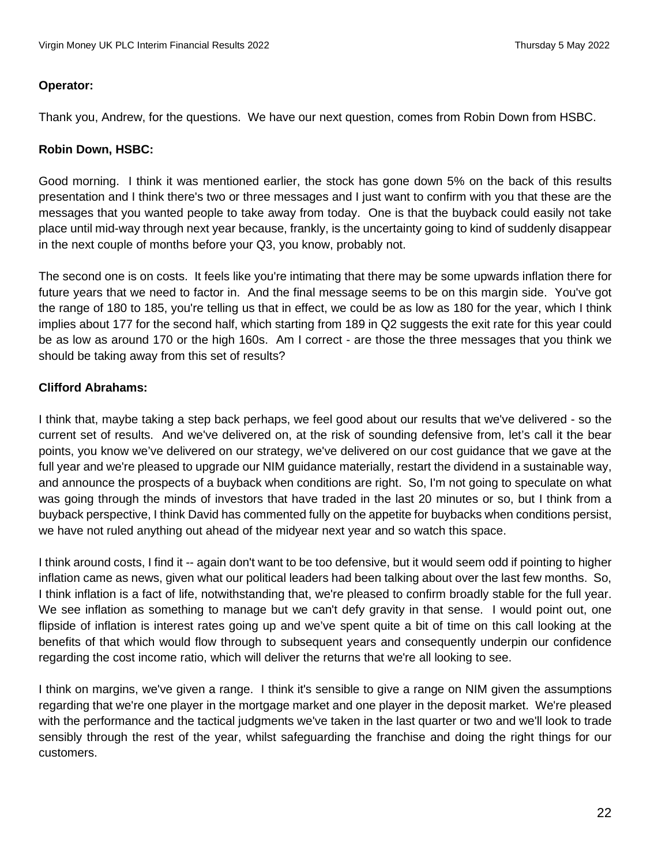#### **Operator:**

Thank you, Andrew, for the questions. We have our next question, comes from Robin Down from HSBC.

### **Robin Down, HSBC:**

Good morning. I think it was mentioned earlier, the stock has gone down 5% on the back of this results presentation and I think there's two or three messages and I just want to confirm with you that these are the messages that you wanted people to take away from today. One is that the buyback could easily not take place until mid-way through next year because, frankly, is the uncertainty going to kind of suddenly disappear in the next couple of months before your Q3, you know, probably not.

The second one is on costs. It feels like you're intimating that there may be some upwards inflation there for future years that we need to factor in. And the final message seems to be on this margin side. You've got the range of 180 to 185, you're telling us that in effect, we could be as low as 180 for the year, which I think implies about 177 for the second half, which starting from 189 in Q2 suggests the exit rate for this year could be as low as around 170 or the high 160s. Am I correct - are those the three messages that you think we should be taking away from this set of results?

### **Clifford Abrahams:**

I think that, maybe taking a step back perhaps, we feel good about our results that we've delivered - so the current set of results. And we've delivered on, at the risk of sounding defensive from, let's call it the bear points, you know we've delivered on our strategy, we've delivered on our cost guidance that we gave at the full year and we're pleased to upgrade our NIM guidance materially, restart the dividend in a sustainable way, and announce the prospects of a buyback when conditions are right. So, I'm not going to speculate on what was going through the minds of investors that have traded in the last 20 minutes or so, but I think from a buyback perspective, I think David has commented fully on the appetite for buybacks when conditions persist, we have not ruled anything out ahead of the midyear next year and so watch this space.

I think around costs, I find it -- again don't want to be too defensive, but it would seem odd if pointing to higher inflation came as news, given what our political leaders had been talking about over the last few months. So, I think inflation is a fact of life, notwithstanding that, we're pleased to confirm broadly stable for the full year. We see inflation as something to manage but we can't defy gravity in that sense. I would point out, one flipside of inflation is interest rates going up and we've spent quite a bit of time on this call looking at the benefits of that which would flow through to subsequent years and consequently underpin our confidence regarding the cost income ratio, which will deliver the returns that we're all looking to see.

I think on margins, we've given a range. I think it's sensible to give a range on NIM given the assumptions regarding that we're one player in the mortgage market and one player in the deposit market. We're pleased with the performance and the tactical judgments we've taken in the last quarter or two and we'll look to trade sensibly through the rest of the year, whilst safeguarding the franchise and doing the right things for our customers.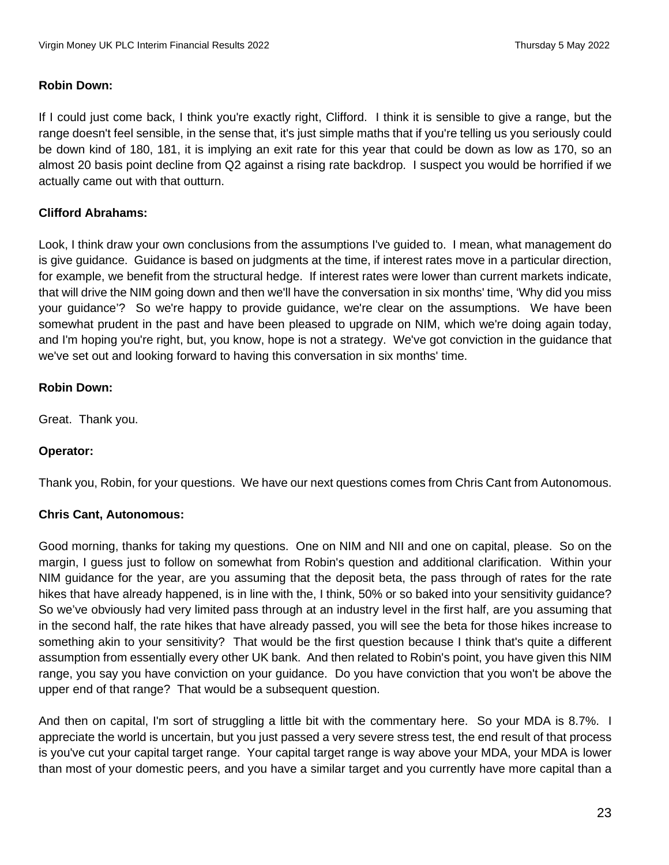### **Robin Down:**

If I could just come back, I think you're exactly right, Clifford. I think it is sensible to give a range, but the range doesn't feel sensible, in the sense that, it's just simple maths that if you're telling us you seriously could be down kind of 180, 181, it is implying an exit rate for this year that could be down as low as 170, so an almost 20 basis point decline from Q2 against a rising rate backdrop. I suspect you would be horrified if we actually came out with that outturn.

### **Clifford Abrahams:**

Look, I think draw your own conclusions from the assumptions I've guided to. I mean, what management do is give guidance. Guidance is based on judgments at the time, if interest rates move in a particular direction, for example, we benefit from the structural hedge. If interest rates were lower than current markets indicate, that will drive the NIM going down and then we'll have the conversation in six months' time, 'Why did you miss your guidance'? So we're happy to provide guidance, we're clear on the assumptions. We have been somewhat prudent in the past and have been pleased to upgrade on NIM, which we're doing again today, and I'm hoping you're right, but, you know, hope is not a strategy. We've got conviction in the guidance that we've set out and looking forward to having this conversation in six months' time.

#### **Robin Down:**

Great. Thank you.

### **Operator:**

Thank you, Robin, for your questions. We have our next questions comes from Chris Cant from Autonomous.

#### **Chris Cant, Autonomous:**

Good morning, thanks for taking my questions. One on NIM and NII and one on capital, please. So on the margin, I guess just to follow on somewhat from Robin's question and additional clarification. Within your NIM guidance for the year, are you assuming that the deposit beta, the pass through of rates for the rate hikes that have already happened, is in line with the, I think, 50% or so baked into your sensitivity guidance? So we've obviously had very limited pass through at an industry level in the first half, are you assuming that in the second half, the rate hikes that have already passed, you will see the beta for those hikes increase to something akin to your sensitivity? That would be the first question because I think that's quite a different assumption from essentially every other UK bank. And then related to Robin's point, you have given this NIM range, you say you have conviction on your guidance. Do you have conviction that you won't be above the upper end of that range? That would be a subsequent question.

And then on capital, I'm sort of struggling a little bit with the commentary here. So your MDA is 8.7%. I appreciate the world is uncertain, but you just passed a very severe stress test, the end result of that process is you've cut your capital target range. Your capital target range is way above your MDA, your MDA is lower than most of your domestic peers, and you have a similar target and you currently have more capital than a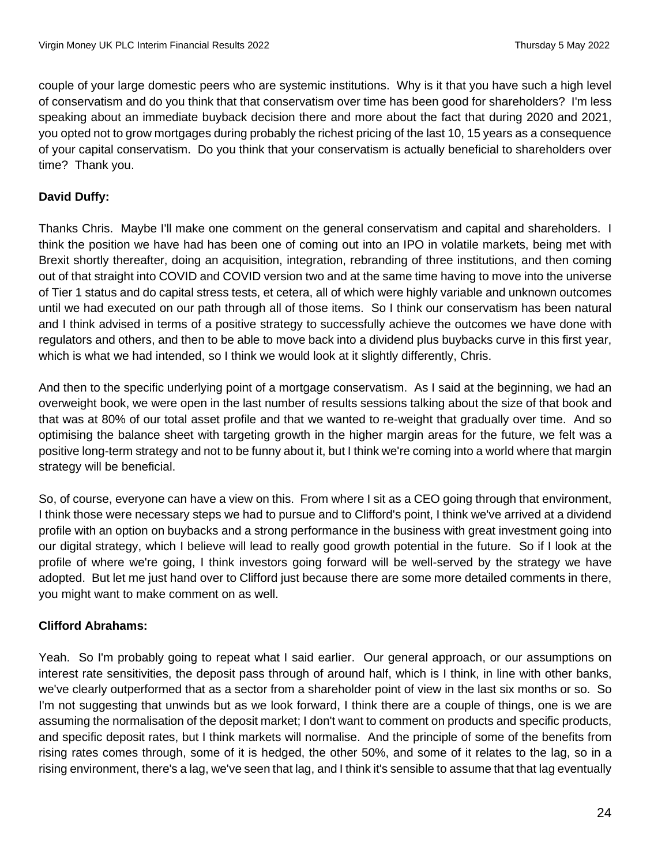couple of your large domestic peers who are systemic institutions. Why is it that you have such a high level of conservatism and do you think that that conservatism over time has been good for shareholders? I'm less speaking about an immediate buyback decision there and more about the fact that during 2020 and 2021, you opted not to grow mortgages during probably the richest pricing of the last 10, 15 years as a consequence of your capital conservatism. Do you think that your conservatism is actually beneficial to shareholders over time? Thank you.

# **David Duffy:**

Thanks Chris. Maybe I'll make one comment on the general conservatism and capital and shareholders. I think the position we have had has been one of coming out into an IPO in volatile markets, being met with Brexit shortly thereafter, doing an acquisition, integration, rebranding of three institutions, and then coming out of that straight into COVID and COVID version two and at the same time having to move into the universe of Tier 1 status and do capital stress tests, et cetera, all of which were highly variable and unknown outcomes until we had executed on our path through all of those items. So I think our conservatism has been natural and I think advised in terms of a positive strategy to successfully achieve the outcomes we have done with regulators and others, and then to be able to move back into a dividend plus buybacks curve in this first year, which is what we had intended, so I think we would look at it slightly differently, Chris.

And then to the specific underlying point of a mortgage conservatism. As I said at the beginning, we had an overweight book, we were open in the last number of results sessions talking about the size of that book and that was at 80% of our total asset profile and that we wanted to re-weight that gradually over time. And so optimising the balance sheet with targeting growth in the higher margin areas for the future, we felt was a positive long-term strategy and not to be funny about it, but I think we're coming into a world where that margin strategy will be beneficial.

So, of course, everyone can have a view on this. From where I sit as a CEO going through that environment, I think those were necessary steps we had to pursue and to Clifford's point, I think we've arrived at a dividend profile with an option on buybacks and a strong performance in the business with great investment going into our digital strategy, which I believe will lead to really good growth potential in the future. So if I look at the profile of where we're going, I think investors going forward will be well-served by the strategy we have adopted. But let me just hand over to Clifford just because there are some more detailed comments in there, you might want to make comment on as well.

# **Clifford Abrahams:**

Yeah. So I'm probably going to repeat what I said earlier. Our general approach, or our assumptions on interest rate sensitivities, the deposit pass through of around half, which is I think, in line with other banks, we've clearly outperformed that as a sector from a shareholder point of view in the last six months or so. So I'm not suggesting that unwinds but as we look forward, I think there are a couple of things, one is we are assuming the normalisation of the deposit market; I don't want to comment on products and specific products, and specific deposit rates, but I think markets will normalise. And the principle of some of the benefits from rising rates comes through, some of it is hedged, the other 50%, and some of it relates to the lag, so in a rising environment, there's a lag, we've seen that lag, and I think it's sensible to assume that that lag eventually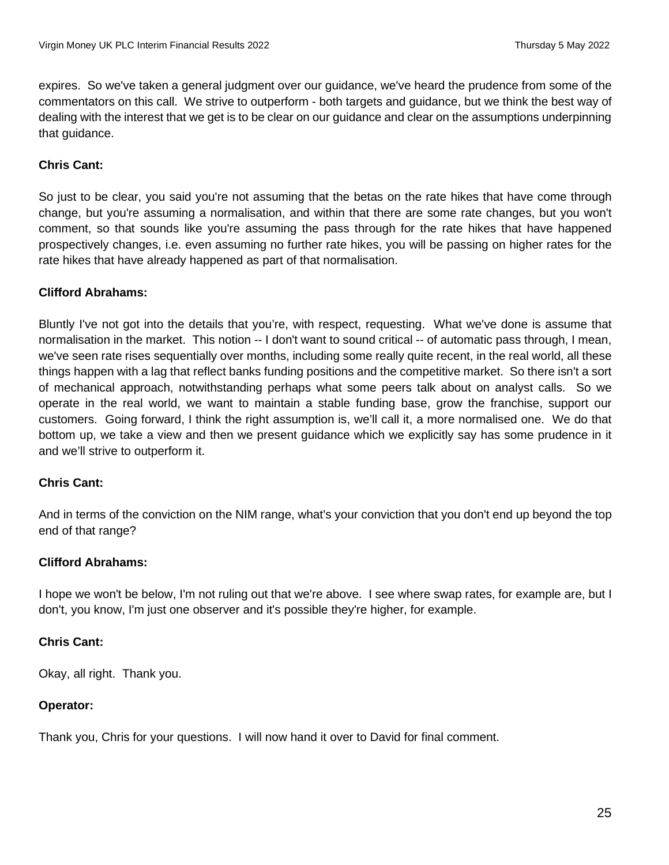expires. So we've taken a general judgment over our guidance, we've heard the prudence from some of the commentators on this call. We strive to outperform - both targets and guidance, but we think the best way of dealing with the interest that we get is to be clear on our guidance and clear on the assumptions underpinning that guidance.

## **Chris Cant:**

So just to be clear, you said you're not assuming that the betas on the rate hikes that have come through change, but you're assuming a normalisation, and within that there are some rate changes, but you won't comment, so that sounds like you're assuming the pass through for the rate hikes that have happened prospectively changes, i.e. even assuming no further rate hikes, you will be passing on higher rates for the rate hikes that have already happened as part of that normalisation.

### **Clifford Abrahams:**

Bluntly I've not got into the details that you're, with respect, requesting. What we've done is assume that normalisation in the market. This notion -- I don't want to sound critical -- of automatic pass through, I mean, we've seen rate rises sequentially over months, including some really quite recent, in the real world, all these things happen with a lag that reflect banks funding positions and the competitive market. So there isn't a sort of mechanical approach, notwithstanding perhaps what some peers talk about on analyst calls. So we operate in the real world, we want to maintain a stable funding base, grow the franchise, support our customers. Going forward, I think the right assumption is, we'll call it, a more normalised one. We do that bottom up, we take a view and then we present guidance which we explicitly say has some prudence in it and we'll strive to outperform it.

### **Chris Cant:**

And in terms of the conviction on the NIM range, what's your conviction that you don't end up beyond the top end of that range?

### **Clifford Abrahams:**

I hope we won't be below, I'm not ruling out that we're above. I see where swap rates, for example are, but I don't, you know, I'm just one observer and it's possible they're higher, for example.

### **Chris Cant:**

Okay, all right. Thank you.

### **Operator:**

Thank you, Chris for your questions. I will now hand it over to David for final comment.